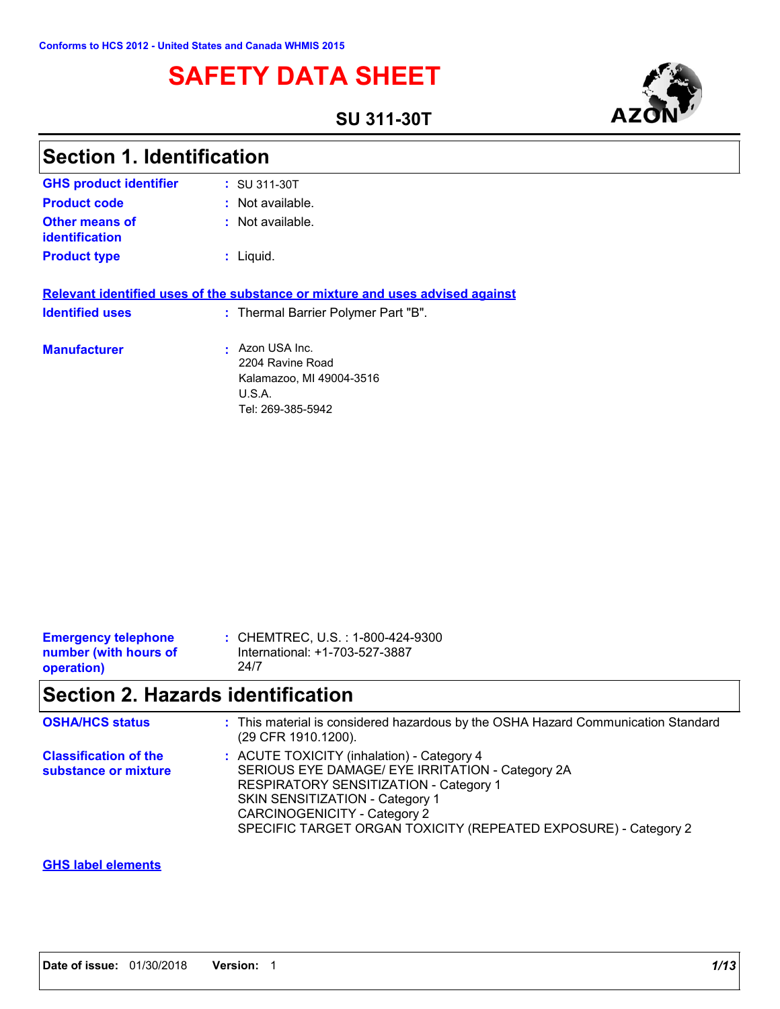# **SAFETY DATA SHEET**

**SU 311-30T**



| <b>Section 1. Identification</b>                                                                         |  |  |
|----------------------------------------------------------------------------------------------------------|--|--|
| : SU 311-30T                                                                                             |  |  |
| : Not available.                                                                                         |  |  |
| : Not available.                                                                                         |  |  |
| : Liquid.                                                                                                |  |  |
| Relevant identified uses of the substance or mixture and uses advised against                            |  |  |
| : Thermal Barrier Polymer Part "B".                                                                      |  |  |
| Azon USA Inc.<br>×<br>2204 Ravine Road<br>Kalamazoo, MI 49004-3516<br><b>U.S.A.</b><br>Tel: 269-385-5942 |  |  |
|                                                                                                          |  |  |

| <b>Emergency telephone</b> | : CHEMTREC, U.S. : 1-800-424-9300 |
|----------------------------|-----------------------------------|
| number (with hours of      | International: +1-703-527-3887    |
| operation)                 | 24/7                              |

# **Section 2. Hazards identification**

| <b>OSHA/HCS status</b>                               | : This material is considered hazardous by the OSHA Hazard Communication Standard<br>(29 CFR 1910.1200).                                                                                                                                                                       |
|------------------------------------------------------|--------------------------------------------------------------------------------------------------------------------------------------------------------------------------------------------------------------------------------------------------------------------------------|
| <b>Classification of the</b><br>substance or mixture | : ACUTE TOXICITY (inhalation) - Category 4<br>SERIOUS EYE DAMAGE/ EYE IRRITATION - Category 2A<br>RESPIRATORY SENSITIZATION - Category 1<br>SKIN SENSITIZATION - Category 1<br>CARCINOGENICITY - Category 2<br>SPECIFIC TARGET ORGAN TOXICITY (REPEATED EXPOSURE) - Category 2 |

#### **GHS label elements**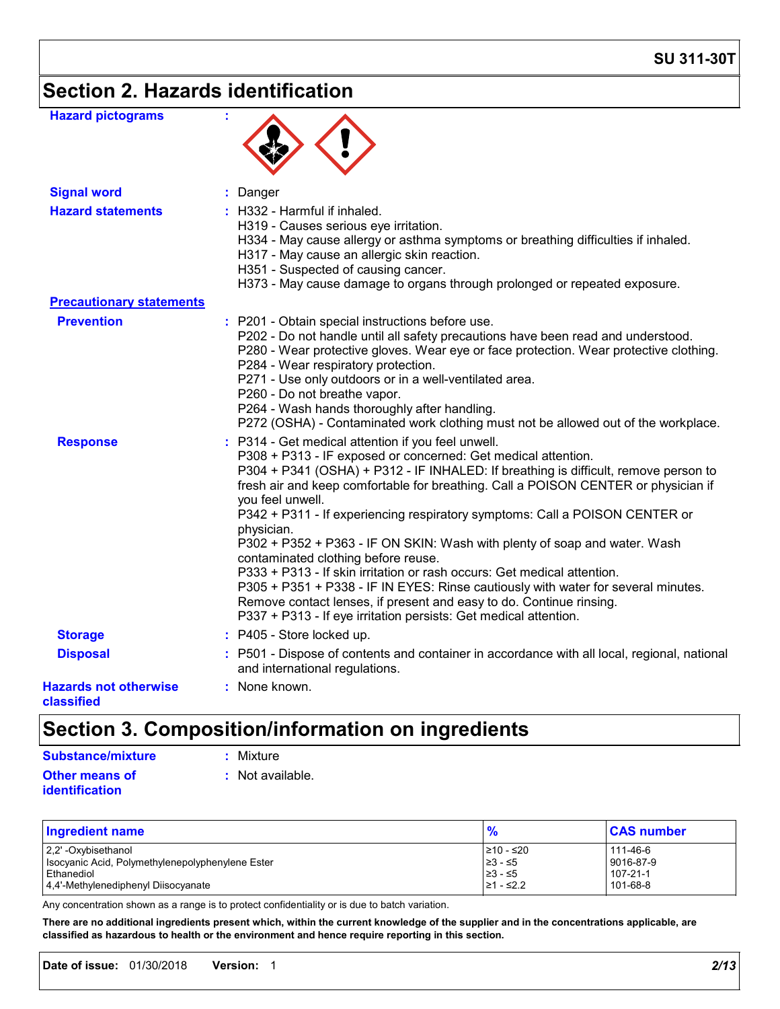# **Section 2. Hazards identification**

| <b>Hazard pictograms</b>                   |                                                                                                                                                                                                                                                                                                                                                                                                                                                                                                                                                                                                                                                                                                                                                                                                                                                  |
|--------------------------------------------|--------------------------------------------------------------------------------------------------------------------------------------------------------------------------------------------------------------------------------------------------------------------------------------------------------------------------------------------------------------------------------------------------------------------------------------------------------------------------------------------------------------------------------------------------------------------------------------------------------------------------------------------------------------------------------------------------------------------------------------------------------------------------------------------------------------------------------------------------|
| <b>Signal word</b>                         | : Danger                                                                                                                                                                                                                                                                                                                                                                                                                                                                                                                                                                                                                                                                                                                                                                                                                                         |
| <b>Hazard statements</b>                   | : H332 - Harmful if inhaled.<br>H319 - Causes serious eye irritation.<br>H334 - May cause allergy or asthma symptoms or breathing difficulties if inhaled.<br>H317 - May cause an allergic skin reaction.<br>H351 - Suspected of causing cancer.<br>H373 - May cause damage to organs through prolonged or repeated exposure.                                                                                                                                                                                                                                                                                                                                                                                                                                                                                                                    |
| <b>Precautionary statements</b>            |                                                                                                                                                                                                                                                                                                                                                                                                                                                                                                                                                                                                                                                                                                                                                                                                                                                  |
| <b>Prevention</b>                          | : P201 - Obtain special instructions before use.<br>P202 - Do not handle until all safety precautions have been read and understood.<br>P280 - Wear protective gloves. Wear eye or face protection. Wear protective clothing.<br>P284 - Wear respiratory protection.<br>P271 - Use only outdoors or in a well-ventilated area.<br>P260 - Do not breathe vapor.<br>P264 - Wash hands thoroughly after handling.<br>P272 (OSHA) - Contaminated work clothing must not be allowed out of the workplace.                                                                                                                                                                                                                                                                                                                                             |
| <b>Response</b>                            | : P314 - Get medical attention if you feel unwell.<br>P308 + P313 - IF exposed or concerned: Get medical attention.<br>P304 + P341 (OSHA) + P312 - IF INHALED: If breathing is difficult, remove person to<br>fresh air and keep comfortable for breathing. Call a POISON CENTER or physician if<br>you feel unwell.<br>P342 + P311 - If experiencing respiratory symptoms: Call a POISON CENTER or<br>physician.<br>P302 + P352 + P363 - IF ON SKIN: Wash with plenty of soap and water. Wash<br>contaminated clothing before reuse.<br>P333 + P313 - If skin irritation or rash occurs: Get medical attention.<br>P305 + P351 + P338 - IF IN EYES: Rinse cautiously with water for several minutes.<br>Remove contact lenses, if present and easy to do. Continue rinsing.<br>P337 + P313 - If eye irritation persists: Get medical attention. |
| <b>Storage</b>                             | : P405 - Store locked up.                                                                                                                                                                                                                                                                                                                                                                                                                                                                                                                                                                                                                                                                                                                                                                                                                        |
| <b>Disposal</b>                            | : P501 - Dispose of contents and container in accordance with all local, regional, national<br>and international regulations.                                                                                                                                                                                                                                                                                                                                                                                                                                                                                                                                                                                                                                                                                                                    |
| <b>Hazards not otherwise</b><br>classified | : None known.                                                                                                                                                                                                                                                                                                                                                                                                                                                                                                                                                                                                                                                                                                                                                                                                                                    |

# **Section 3. Composition/information on ingredients**

### **Substance/mixture :** Mixture

- 
- **Other means of identification**
- 
- **:** Not available.

| Ingredient name                                  | %         | <b>CAS number</b> |
|--------------------------------------------------|-----------|-------------------|
| 2.2' -Oxybisethanol                              | 210 - ≤20 | 111-46-6          |
| Isocyanic Acid, Polymethylenepolyphenylene Ester | 23 - ≤5   | 9016-87-9         |
| l Ethanediol                                     | 23 - ≤5   | $107 - 21 - 1$    |
| 4.4'-Methylenediphenyl Diisocyanate              | 21 - ≤2.2 | 101-68-8          |

Any concentration shown as a range is to protect confidentiality or is due to batch variation.

**There are no additional ingredients present which, within the current knowledge of the supplier and in the concentrations applicable, are classified as hazardous to health or the environment and hence require reporting in this section.**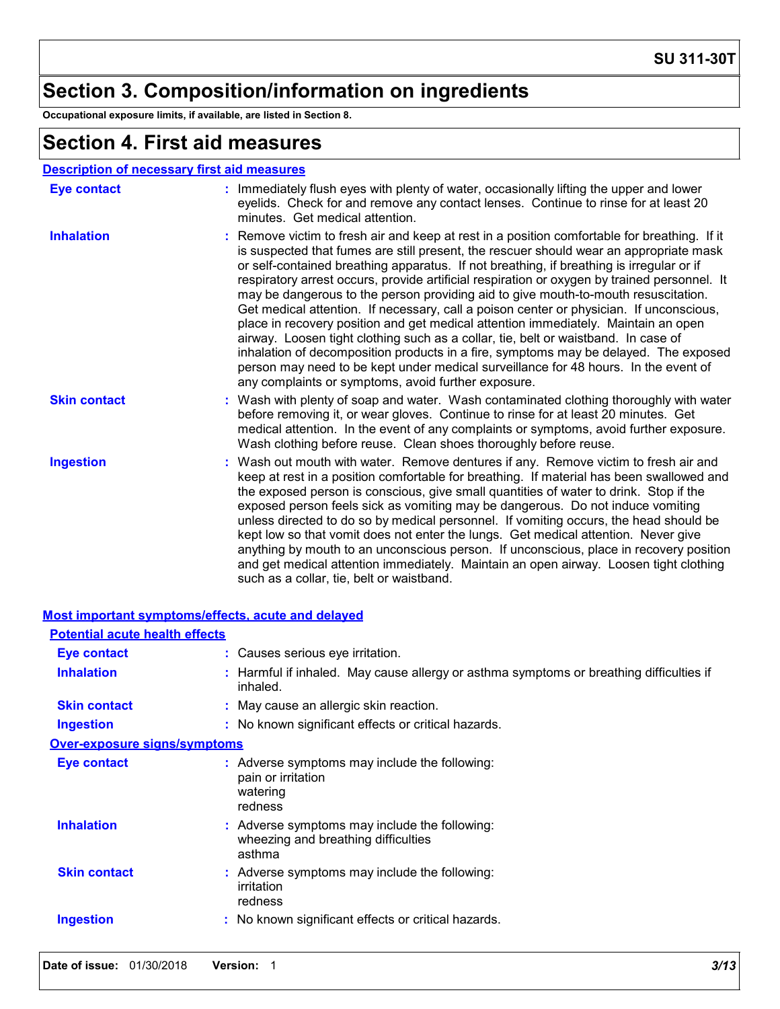# **Section 3. Composition/information on ingredients**

**Occupational exposure limits, if available, are listed in Section 8.**

### **Section 4. First aid measures**

#### **Description of necessary first aid measures**

| <b>Eye contact</b>  | : Immediately flush eyes with plenty of water, occasionally lifting the upper and lower<br>eyelids. Check for and remove any contact lenses. Continue to rinse for at least 20<br>minutes. Get medical attention.                                                                                                                                                                                                                                                                                                                                                                                                                                                                                                                                                                                                                                                                                                                                                                     |
|---------------------|---------------------------------------------------------------------------------------------------------------------------------------------------------------------------------------------------------------------------------------------------------------------------------------------------------------------------------------------------------------------------------------------------------------------------------------------------------------------------------------------------------------------------------------------------------------------------------------------------------------------------------------------------------------------------------------------------------------------------------------------------------------------------------------------------------------------------------------------------------------------------------------------------------------------------------------------------------------------------------------|
| <b>Inhalation</b>   | : Remove victim to fresh air and keep at rest in a position comfortable for breathing. If it<br>is suspected that fumes are still present, the rescuer should wear an appropriate mask<br>or self-contained breathing apparatus. If not breathing, if breathing is irregular or if<br>respiratory arrest occurs, provide artificial respiration or oxygen by trained personnel. It<br>may be dangerous to the person providing aid to give mouth-to-mouth resuscitation.<br>Get medical attention. If necessary, call a poison center or physician. If unconscious,<br>place in recovery position and get medical attention immediately. Maintain an open<br>airway. Loosen tight clothing such as a collar, tie, belt or waistband. In case of<br>inhalation of decomposition products in a fire, symptoms may be delayed. The exposed<br>person may need to be kept under medical surveillance for 48 hours. In the event of<br>any complaints or symptoms, avoid further exposure. |
| <b>Skin contact</b> | : Wash with plenty of soap and water. Wash contaminated clothing thoroughly with water<br>before removing it, or wear gloves. Continue to rinse for at least 20 minutes. Get<br>medical attention. In the event of any complaints or symptoms, avoid further exposure.<br>Wash clothing before reuse. Clean shoes thoroughly before reuse.                                                                                                                                                                                                                                                                                                                                                                                                                                                                                                                                                                                                                                            |
| <b>Ingestion</b>    | : Wash out mouth with water. Remove dentures if any. Remove victim to fresh air and<br>keep at rest in a position comfortable for breathing. If material has been swallowed and<br>the exposed person is conscious, give small quantities of water to drink. Stop if the<br>exposed person feels sick as vomiting may be dangerous. Do not induce vomiting<br>unless directed to do so by medical personnel. If vomiting occurs, the head should be<br>kept low so that vomit does not enter the lungs. Get medical attention. Never give<br>anything by mouth to an unconscious person. If unconscious, place in recovery position<br>and get medical attention immediately. Maintain an open airway. Loosen tight clothing<br>such as a collar, tie, belt or waistband.                                                                                                                                                                                                             |

| <u>Most important symptoms/effects, acute and delayed</u> |                                                                                                     |  |
|-----------------------------------------------------------|-----------------------------------------------------------------------------------------------------|--|
| <b>Potential acute health effects</b>                     |                                                                                                     |  |
| Eye contact                                               | : Causes serious eye irritation.                                                                    |  |
| <b>Inhalation</b>                                         | : Harmful if inhaled. May cause allergy or asthma symptoms or breathing difficulties if<br>inhaled. |  |
| <b>Skin contact</b>                                       | : May cause an allergic skin reaction.                                                              |  |
| Ingestion                                                 | : No known significant effects or critical hazards.                                                 |  |
| <b>Over-exposure signs/symptoms</b>                       |                                                                                                     |  |
| Eye contact                                               | : Adverse symptoms may include the following:<br>pain or irritation<br>watering<br>redness          |  |
| <b>Inhalation</b>                                         | : Adverse symptoms may include the following:<br>wheezing and breathing difficulties<br>asthma      |  |
| <b>Skin contact</b>                                       | : Adverse symptoms may include the following:<br>irritation<br>redness                              |  |
| <b>Ingestion</b>                                          | : No known significant effects or critical hazards.                                                 |  |
|                                                           |                                                                                                     |  |

### **Most important symptoms/effects, acute and delayed**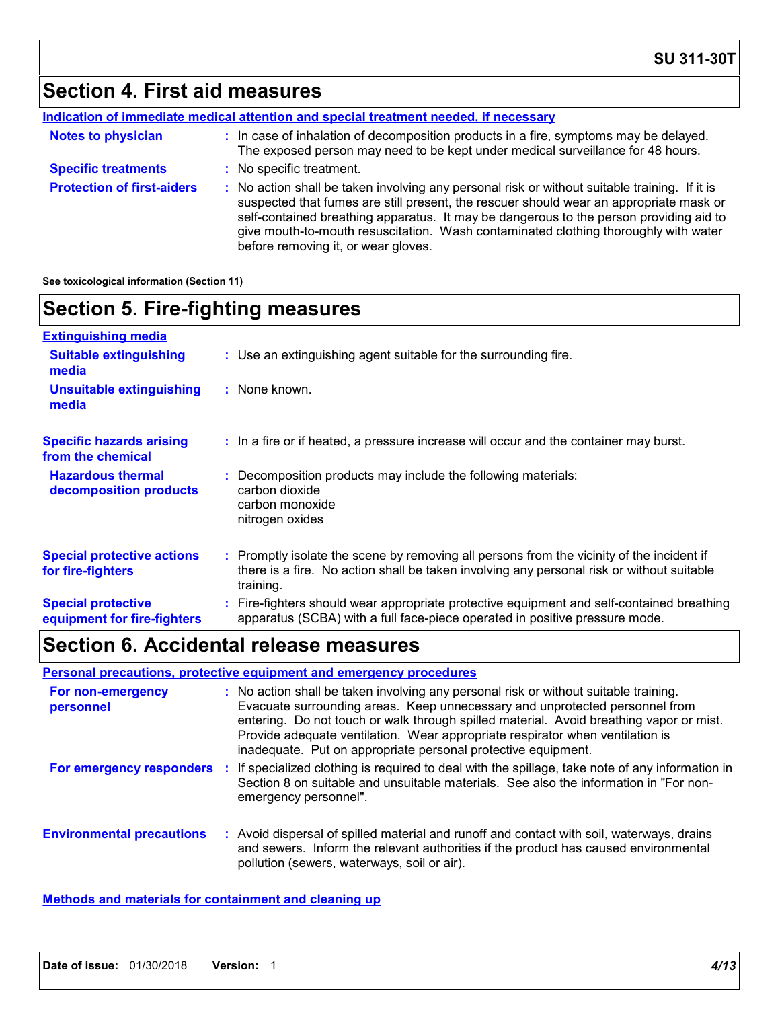# **Section 4. First aid measures**

|                                   | Indication of immediate medical attention and special treatment needed, if necessary                                                                                                                                                                                                                                                                                                                            |  |
|-----------------------------------|-----------------------------------------------------------------------------------------------------------------------------------------------------------------------------------------------------------------------------------------------------------------------------------------------------------------------------------------------------------------------------------------------------------------|--|
| <b>Notes to physician</b>         | : In case of inhalation of decomposition products in a fire, symptoms may be delayed.<br>The exposed person may need to be kept under medical surveillance for 48 hours.                                                                                                                                                                                                                                        |  |
| <b>Specific treatments</b>        | : No specific treatment.                                                                                                                                                                                                                                                                                                                                                                                        |  |
| <b>Protection of first-aiders</b> | : No action shall be taken involving any personal risk or without suitable training. If it is<br>suspected that fumes are still present, the rescuer should wear an appropriate mask or<br>self-contained breathing apparatus. It may be dangerous to the person providing aid to<br>give mouth-to-mouth resuscitation. Wash contaminated clothing thoroughly with water<br>before removing it, or wear gloves. |  |

**See toxicological information (Section 11)**

# **Section 5. Fire-fighting measures**

| <b>Extinguishing media</b>                               |                                                                                                                                                                                                     |
|----------------------------------------------------------|-----------------------------------------------------------------------------------------------------------------------------------------------------------------------------------------------------|
| <b>Suitable extinguishing</b><br>media                   | : Use an extinguishing agent suitable for the surrounding fire.                                                                                                                                     |
| <b>Unsuitable extinguishing</b><br>media                 | : None known.                                                                                                                                                                                       |
| <b>Specific hazards arising</b><br>from the chemical     | : In a fire or if heated, a pressure increase will occur and the container may burst.                                                                                                               |
| <b>Hazardous thermal</b><br>decomposition products       | Decomposition products may include the following materials:<br>carbon dioxide<br>carbon monoxide<br>nitrogen oxides                                                                                 |
| <b>Special protective actions</b><br>for fire-fighters   | : Promptly isolate the scene by removing all persons from the vicinity of the incident if<br>there is a fire. No action shall be taken involving any personal risk or without suitable<br>training. |
| <b>Special protective</b><br>equipment for fire-fighters | Fire-fighters should wear appropriate protective equipment and self-contained breathing<br>apparatus (SCBA) with a full face-piece operated in positive pressure mode.                              |

### **Section 6. Accidental release measures**

#### **Personal precautions, protective equipment and emergency procedures**

| For non-emergency<br>personnel   | : No action shall be taken involving any personal risk or without suitable training.<br>Evacuate surrounding areas. Keep unnecessary and unprotected personnel from<br>entering. Do not touch or walk through spilled material. Avoid breathing vapor or mist.<br>Provide adequate ventilation. Wear appropriate respirator when ventilation is<br>inadequate. Put on appropriate personal protective equipment. |
|----------------------------------|------------------------------------------------------------------------------------------------------------------------------------------------------------------------------------------------------------------------------------------------------------------------------------------------------------------------------------------------------------------------------------------------------------------|
| For emergency responders         | If specialized clothing is required to deal with the spillage, take note of any information in<br>Section 8 on suitable and unsuitable materials. See also the information in "For non-<br>emergency personnel".                                                                                                                                                                                                 |
| <b>Environmental precautions</b> | : Avoid dispersal of spilled material and runoff and contact with soil, waterways, drains<br>and sewers. Inform the relevant authorities if the product has caused environmental<br>pollution (sewers, waterways, soil or air).                                                                                                                                                                                  |

#### **Methods and materials for containment and cleaning up**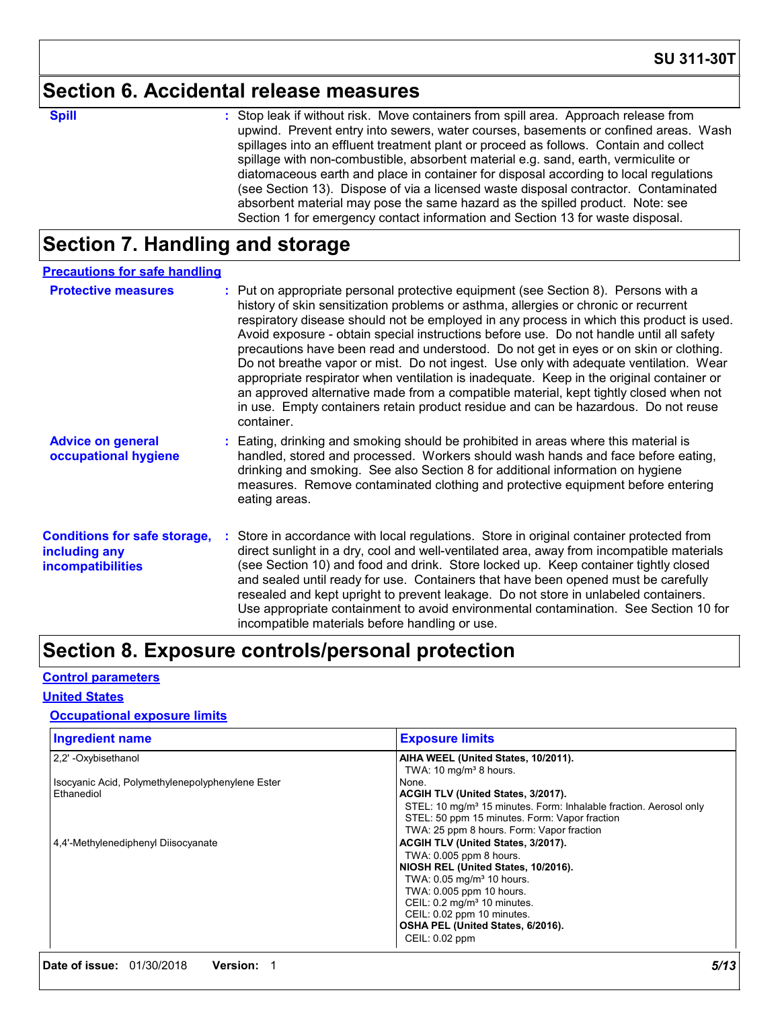### **Section 6. Accidental release measures**

**Spill Stop leak if without risk. Move containers from spill area. Approach release from <b>Spill Stop leak** if without risk. Move containers from spill area. Approach release from upwind. Prevent entry into sewers, water courses, basements or confined areas. Wash spillages into an effluent treatment plant or proceed as follows. Contain and collect spillage with non-combustible, absorbent material e.g. sand, earth, vermiculite or diatomaceous earth and place in container for disposal according to local regulations (see Section 13). Dispose of via a licensed waste disposal contractor. Contaminated absorbent material may pose the same hazard as the spilled product. Note: see Section 1 for emergency contact information and Section 13 for waste disposal.

## **Section 7. Handling and storage**

| <b>Precautions for safe handling</b>                                             |                                                                                                                                                                                                                                                                                                                                                                                                                                                                                                                                                                                                                                                                                                                                                                                                                                             |
|----------------------------------------------------------------------------------|---------------------------------------------------------------------------------------------------------------------------------------------------------------------------------------------------------------------------------------------------------------------------------------------------------------------------------------------------------------------------------------------------------------------------------------------------------------------------------------------------------------------------------------------------------------------------------------------------------------------------------------------------------------------------------------------------------------------------------------------------------------------------------------------------------------------------------------------|
| <b>Protective measures</b>                                                       | : Put on appropriate personal protective equipment (see Section 8). Persons with a<br>history of skin sensitization problems or asthma, allergies or chronic or recurrent<br>respiratory disease should not be employed in any process in which this product is used.<br>Avoid exposure - obtain special instructions before use. Do not handle until all safety<br>precautions have been read and understood. Do not get in eyes or on skin or clothing.<br>Do not breathe vapor or mist. Do not ingest. Use only with adequate ventilation. Wear<br>appropriate respirator when ventilation is inadequate. Keep in the original container or<br>an approved alternative made from a compatible material, kept tightly closed when not<br>in use. Empty containers retain product residue and can be hazardous. Do not reuse<br>container. |
| <b>Advice on general</b><br>occupational hygiene                                 | : Eating, drinking and smoking should be prohibited in areas where this material is<br>handled, stored and processed. Workers should wash hands and face before eating,<br>drinking and smoking. See also Section 8 for additional information on hygiene<br>measures. Remove contaminated clothing and protective equipment before entering<br>eating areas.                                                                                                                                                                                                                                                                                                                                                                                                                                                                               |
| <b>Conditions for safe storage,</b><br>including any<br><b>incompatibilities</b> | Store in accordance with local regulations. Store in original container protected from<br>direct sunlight in a dry, cool and well-ventilated area, away from incompatible materials<br>(see Section 10) and food and drink. Store locked up. Keep container tightly closed<br>and sealed until ready for use. Containers that have been opened must be carefully<br>resealed and kept upright to prevent leakage. Do not store in unlabeled containers.<br>Use appropriate containment to avoid environmental contamination. See Section 10 for<br>incompatible materials before handling or use.                                                                                                                                                                                                                                           |

# **Section 8. Exposure controls/personal protection**

#### **Control parameters**

#### **United States**

#### **Occupational exposure limits**

| <b>Ingredient name</b>                           | <b>Exposure limits</b>                                                        |
|--------------------------------------------------|-------------------------------------------------------------------------------|
| 2.2' -Oxybisethanol                              | AIHA WEEL (United States, 10/2011).                                           |
|                                                  | TWA: 10 mg/m <sup>3</sup> 8 hours.                                            |
| Isocyanic Acid, Polymethylenepolyphenylene Ester | None.                                                                         |
| Ethanediol                                       | <b>ACGIH TLV (United States, 3/2017).</b>                                     |
|                                                  | STEL: 10 mg/m <sup>3</sup> 15 minutes. Form: Inhalable fraction. Aerosol only |
|                                                  | STEL: 50 ppm 15 minutes. Form: Vapor fraction                                 |
|                                                  | TWA: 25 ppm 8 hours. Form: Vapor fraction                                     |
| 4,4'-Methylenediphenyl Diisocyanate              | ACGIH TLV (United States, 3/2017).                                            |
|                                                  | TWA: 0.005 ppm 8 hours.                                                       |
|                                                  | NIOSH REL (United States, 10/2016).                                           |
|                                                  | TWA: 0.05 mg/m <sup>3</sup> 10 hours.                                         |
|                                                  | TWA: 0.005 ppm 10 hours.                                                      |
|                                                  | CEIL: 0.2 mg/m <sup>3</sup> 10 minutes.                                       |
|                                                  | CEIL: 0.02 ppm 10 minutes.                                                    |
|                                                  | OSHA PEL (United States, 6/2016).                                             |
|                                                  | CEIL: 0.02 ppm                                                                |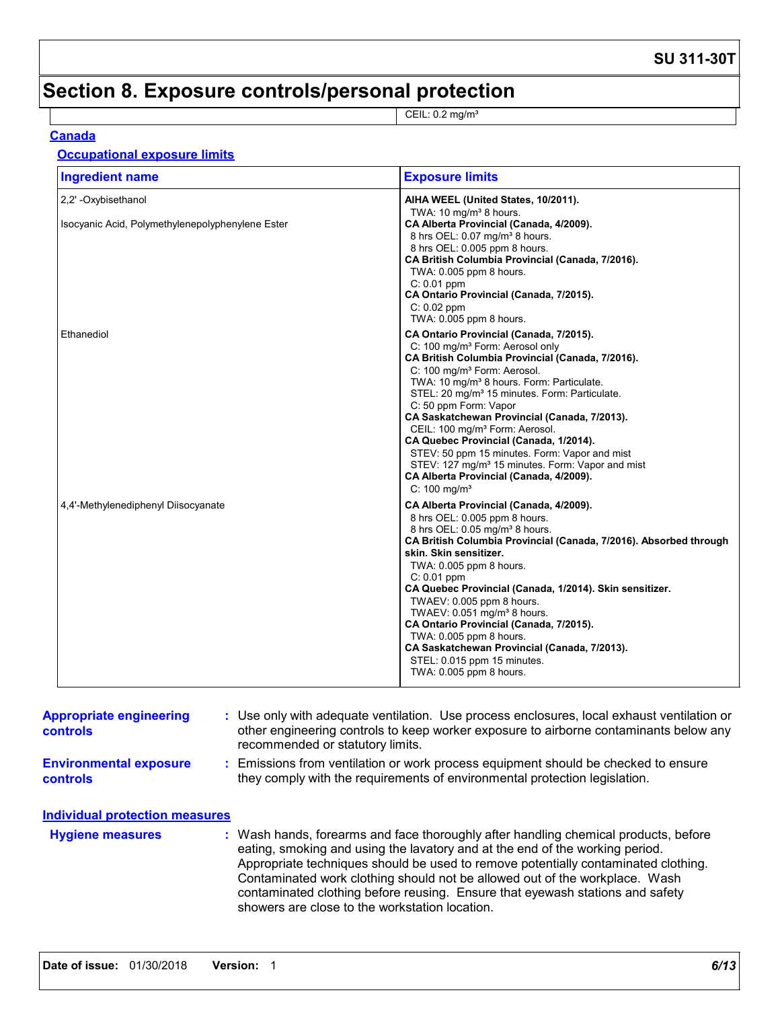**SU 311-30T**

# **Section 8. Exposure controls/personal protection**

CEIL: 0.2 mg/m³

#### **Canada**

#### **Occupational exposure limits**

| <b>Ingredient name</b>                           | <b>Exposure limits</b>                                                                                                                                                                                                                                                                                                                                                                                                                                                                                                                                                                                                                                                 |
|--------------------------------------------------|------------------------------------------------------------------------------------------------------------------------------------------------------------------------------------------------------------------------------------------------------------------------------------------------------------------------------------------------------------------------------------------------------------------------------------------------------------------------------------------------------------------------------------------------------------------------------------------------------------------------------------------------------------------------|
| 2,2' - Oxybisethanol                             | AIHA WEEL (United States, 10/2011).                                                                                                                                                                                                                                                                                                                                                                                                                                                                                                                                                                                                                                    |
| Isocyanic Acid, Polymethylenepolyphenylene Ester | TWA: 10 mg/m <sup>3</sup> 8 hours.<br>CA Alberta Provincial (Canada, 4/2009).<br>8 hrs OEL: 0.07 mg/m <sup>3</sup> 8 hours.<br>8 hrs OEL: 0.005 ppm 8 hours.<br>CA British Columbia Provincial (Canada, 7/2016).<br>TWA: 0.005 ppm 8 hours.<br>C: 0.01 ppm<br>CA Ontario Provincial (Canada, 7/2015).<br>$C: 0.02$ ppm<br>TWA: 0.005 ppm 8 hours.                                                                                                                                                                                                                                                                                                                      |
| Ethanediol                                       | CA Ontario Provincial (Canada, 7/2015).<br>C: 100 mg/m <sup>3</sup> Form: Aerosol only<br>CA British Columbia Provincial (Canada, 7/2016).<br>C: 100 mg/m <sup>3</sup> Form: Aerosol.<br>TWA: 10 mg/m <sup>3</sup> 8 hours. Form: Particulate.<br>STEL: 20 mg/m <sup>3</sup> 15 minutes. Form: Particulate.<br>C: 50 ppm Form: Vapor<br>CA Saskatchewan Provincial (Canada, 7/2013).<br>CEIL: 100 mg/m <sup>3</sup> Form: Aerosol.<br>CA Quebec Provincial (Canada, 1/2014).<br>STEV: 50 ppm 15 minutes. Form: Vapor and mist<br>STEV: 127 mg/m <sup>3</sup> 15 minutes. Form: Vapor and mist<br>CA Alberta Provincial (Canada, 4/2009).<br>$C: 100$ mg/m <sup>3</sup> |
| 4,4'-Methylenediphenyl Diisocyanate              | CA Alberta Provincial (Canada, 4/2009).<br>8 hrs OEL: 0.005 ppm 8 hours.<br>8 hrs OEL: 0.05 mg/m <sup>3</sup> 8 hours.<br>CA British Columbia Provincial (Canada, 7/2016). Absorbed through<br>skin. Skin sensitizer.<br>TWA: 0.005 ppm 8 hours.<br>$C: 0.01$ ppm<br>CA Quebec Provincial (Canada, 1/2014). Skin sensitizer.<br>TWAEV: 0.005 ppm 8 hours.<br>TWAEV: 0.051 mg/m <sup>3</sup> 8 hours.<br>CA Ontario Provincial (Canada, 7/2015).<br>TWA: 0.005 ppm 8 hours.<br>CA Saskatchewan Provincial (Canada, 7/2013).<br>STEL: 0.015 ppm 15 minutes.<br>TWA: 0.005 ppm 8 hours.                                                                                   |

| <b>Appropriate engineering</b><br><b>controls</b>                                                                              |  | : Use only with adequate ventilation. Use process enclosures, local exhaust ventilation or<br>other engineering controls to keep worker exposure to airborne contaminants below any<br>recommended or statutory limits.                                                                                                                                                                                                   |
|--------------------------------------------------------------------------------------------------------------------------------|--|---------------------------------------------------------------------------------------------------------------------------------------------------------------------------------------------------------------------------------------------------------------------------------------------------------------------------------------------------------------------------------------------------------------------------|
| <b>Environmental exposure</b><br>they comply with the requirements of environmental protection legislation.<br><b>controls</b> |  | : Emissions from ventilation or work process equipment should be checked to ensure                                                                                                                                                                                                                                                                                                                                        |
| <b>Individual protection measures</b>                                                                                          |  |                                                                                                                                                                                                                                                                                                                                                                                                                           |
| <b>Hygiene measures</b>                                                                                                        |  | : Wash hands, forearms and face thoroughly after handling chemical products, before<br>eating, smoking and using the lavatory and at the end of the working period.<br>Appropriate techniques should be used to remove potentially contaminated clothing.<br>Contaminated work clothing should not be allowed out of the workplace. Wash<br>contaminated clothing before reusing. Ensure that eyewash stations and safety |

showers are close to the workstation location.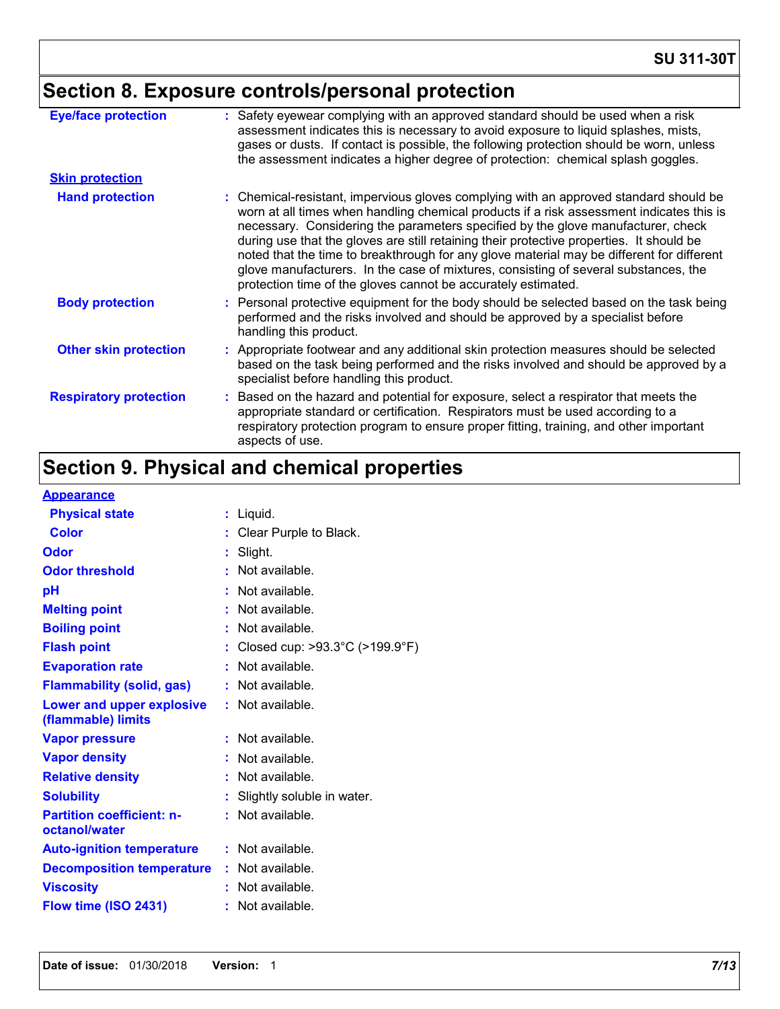# **Section 8. Exposure controls/personal protection**

| <b>Eye/face protection</b>    | : Safety eyewear complying with an approved standard should be used when a risk<br>assessment indicates this is necessary to avoid exposure to liquid splashes, mists,<br>gases or dusts. If contact is possible, the following protection should be worn, unless<br>the assessment indicates a higher degree of protection: chemical splash goggles.                                                                                                                                                                                                                                                                  |
|-------------------------------|------------------------------------------------------------------------------------------------------------------------------------------------------------------------------------------------------------------------------------------------------------------------------------------------------------------------------------------------------------------------------------------------------------------------------------------------------------------------------------------------------------------------------------------------------------------------------------------------------------------------|
| <b>Skin protection</b>        |                                                                                                                                                                                                                                                                                                                                                                                                                                                                                                                                                                                                                        |
| <b>Hand protection</b>        | : Chemical-resistant, impervious gloves complying with an approved standard should be<br>worn at all times when handling chemical products if a risk assessment indicates this is<br>necessary. Considering the parameters specified by the glove manufacturer, check<br>during use that the gloves are still retaining their protective properties. It should be<br>noted that the time to breakthrough for any glove material may be different for different<br>glove manufacturers. In the case of mixtures, consisting of several substances, the<br>protection time of the gloves cannot be accurately estimated. |
| <b>Body protection</b>        | : Personal protective equipment for the body should be selected based on the task being<br>performed and the risks involved and should be approved by a specialist before<br>handling this product.                                                                                                                                                                                                                                                                                                                                                                                                                    |
| <b>Other skin protection</b>  | : Appropriate footwear and any additional skin protection measures should be selected<br>based on the task being performed and the risks involved and should be approved by a<br>specialist before handling this product.                                                                                                                                                                                                                                                                                                                                                                                              |
| <b>Respiratory protection</b> | : Based on the hazard and potential for exposure, select a respirator that meets the<br>appropriate standard or certification. Respirators must be used according to a<br>respiratory protection program to ensure proper fitting, training, and other important<br>aspects of use.                                                                                                                                                                                                                                                                                                                                    |

# **Section 9. Physical and chemical properties**

| Appearance |
|------------|
|------------|

| <u>Appearance</u>                                      |    |                                |
|--------------------------------------------------------|----|--------------------------------|
| <b>Physical state</b>                                  |    | $:$ Liquid.                    |
| <b>Color</b>                                           |    | Clear Purple to Black.         |
| Odor                                                   |    | Slight.                        |
| <b>Odor threshold</b>                                  | t. | Not available.                 |
| pH                                                     |    | Not available.                 |
| <b>Melting point</b>                                   |    | Not available.                 |
| <b>Boiling point</b>                                   |    | : Not available.               |
| <b>Flash point</b>                                     |    | Closed cup: >93.3°C (>199.9°F) |
| <b>Evaporation rate</b>                                |    | Not available.                 |
| <b>Flammability (solid, gas)</b>                       |    | $:$ Not available.             |
| <b>Lower and upper explosive</b><br>(flammable) limits |    | $:$ Not available.             |
| <b>Vapor pressure</b>                                  |    | Not available.                 |
| <b>Vapor density</b>                                   |    | Not available.                 |
| <b>Relative density</b>                                |    | Not available.                 |
| <b>Solubility</b>                                      |    | Slightly soluble in water.     |
| <b>Partition coefficient: n-</b><br>octanol/water      |    | Not available.                 |
| <b>Auto-ignition temperature</b>                       |    | : Not available.               |
| <b>Decomposition temperature</b>                       |    | : Not available.               |
| <b>Viscosity</b>                                       |    | Not available.                 |
| Flow time (ISO 2431)                                   |    | Not available.                 |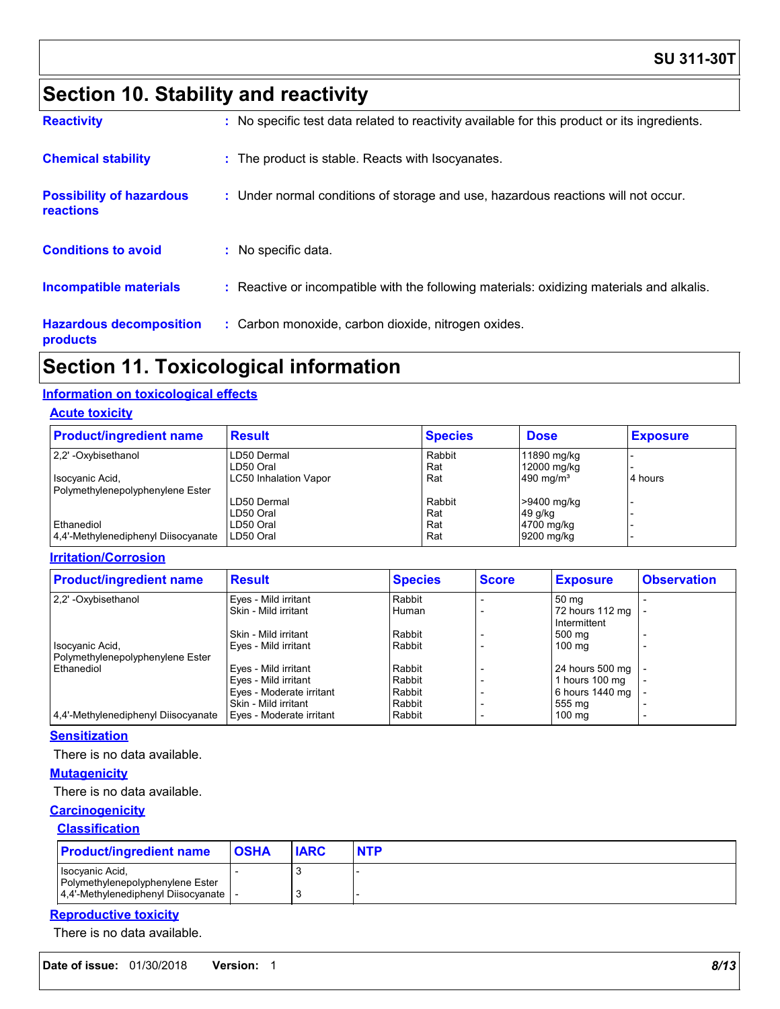### **SU 311-30T**

# **Section 10. Stability and reactivity**

| <b>Reactivity</b>                            | : No specific test data related to reactivity available for this product or its ingredients. |
|----------------------------------------------|----------------------------------------------------------------------------------------------|
| <b>Chemical stability</b>                    | : The product is stable. Reacts with Isocyanates.                                            |
| <b>Possibility of hazardous</b><br>reactions | : Under normal conditions of storage and use, hazardous reactions will not occur.            |
| <b>Conditions to avoid</b>                   | : No specific data.                                                                          |
| <b>Incompatible materials</b>                | : Reactive or incompatible with the following materials: oxidizing materials and alkalis.    |
| <b>Hazardous decomposition</b><br>products   | : Carbon monoxide, carbon dioxide, nitrogen oxides.                                          |

### **Section 11. Toxicological information**

### **Information on toxicological effects**

#### **Acute toxicity**

| <b>Product/ingredient name</b>      | <b>Result</b>         | <b>Species</b> | <b>Dose</b>  | <b>Exposure</b> |
|-------------------------------------|-----------------------|----------------|--------------|-----------------|
| 2.2' - Oxybisethanol                | LD50 Dermal           | Rabbit         | 11890 mg/kg  |                 |
|                                     | LD50 Oral             | Rat            | 12000 mg/kg  |                 |
| Isocyanic Acid,                     | LC50 Inhalation Vapor | Rat            | 490 mg/ $m3$ | 4 hours         |
| Polymethylenepolyphenylene Ester    |                       |                |              |                 |
|                                     | LD50 Dermal           | Rabbit         | >9400 mg/kg  |                 |
|                                     | LD50 Oral             | Rat            | 49 g/kg      |                 |
| Ethanediol                          | LD50 Oral             | Rat            | 4700 mg/kg   |                 |
| 4,4'-Methylenediphenyl Diisocyanate | LD50 Oral             | Rat            | 9200 mg/kg   |                 |

#### **Irritation/Corrosion**

|                                                                                               | <b>Observation</b><br><b>Exposure</b> |
|-----------------------------------------------------------------------------------------------|---------------------------------------|
| 2.2' - Oxybisethanol<br>Eyes - Mild irritant<br>Rabbit<br>50 mg                               |                                       |
| Skin - Mild irritant<br>72 hours 112 mg<br>Human                                              |                                       |
| Intermittent                                                                                  |                                       |
| Rabbit<br>Skin - Mild irritant<br>500 mg                                                      |                                       |
| Rabbit<br>Isocyanic Acid,<br>Eyes - Mild irritant<br>$100 \text{ mg}$                         |                                       |
| Polymethylenepolyphenylene Ester                                                              |                                       |
| Ethanediol<br>Eyes - Mild irritant<br>Rabbit<br>24 hours 500 mg                               |                                       |
| Rabbit<br>Eyes - Mild irritant<br>1 hours 100 mg                                              |                                       |
| Eyes - Moderate irritant<br>Rabbit<br>6 hours 1440 mg                                         |                                       |
| Skin - Mild irritant<br>Rabbit<br>555 mg                                                      |                                       |
| 4.4'-Methylenediphenyl Diisocyanate<br>Eyes - Moderate irritant<br>Rabbit<br>$100 \text{ mg}$ |                                       |

#### **Sensitization**

There is no data available.

#### **Mutagenicity**

There is no data available.

#### **Carcinogenicity**

#### **Classification**

| <b>Product/ingredient name</b>                                                             | <b>OSHA</b> | <b>IARC</b> | <b>NTP</b> |
|--------------------------------------------------------------------------------------------|-------------|-------------|------------|
| Isocyanic Acid.<br>Polymethylenepolyphenylene Ester<br>4.4'-Methylenediphenyl Diisocyanate |             |             |            |

#### **Reproductive toxicity**

There is no data available.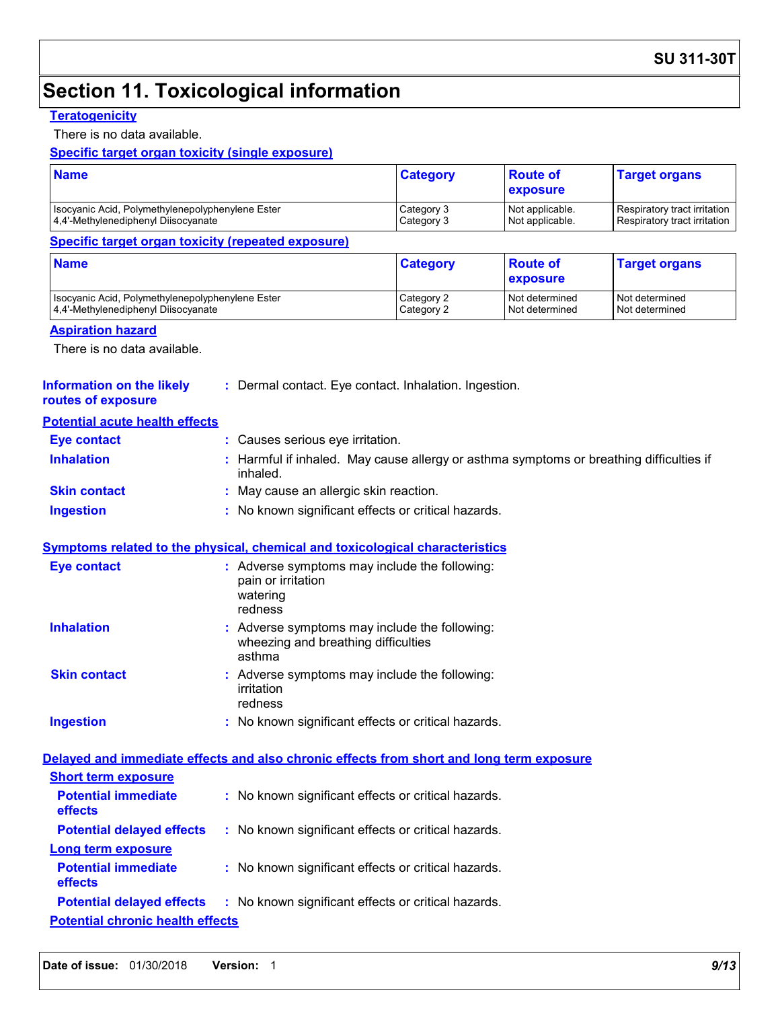# **Section 11. Toxicological information**

#### **Teratogenicity**

There is no data available.

#### **Specific target organ toxicity (single exposure)**

| <b>Name</b>                                      | <b>Category</b> | <b>Boute of</b><br><b>exposure</b> | <b>Target organs</b>         |
|--------------------------------------------------|-----------------|------------------------------------|------------------------------|
| Isocyanic Acid, Polymethylenepolyphenylene Ester | Category 3      | Not applicable.                    | Respiratory tract irritation |
| 4.4'-Methylenediphenyl Diisocyanate              | Category 3      | Not applicable.                    | Respiratory tract irritation |

#### **Specific target organ toxicity (repeated exposure)**

| <b>Name</b>                                      | <b>Category</b> | <b>Route of</b><br><b>exposure</b> | <b>Target organs</b> |
|--------------------------------------------------|-----------------|------------------------------------|----------------------|
| Isocyanic Acid, Polymethylenepolyphenylene Ester | Category 2      | Not determined                     | Not determined       |
| 4.4'-Methylenediphenyl Diisocyanate              | Category 2      | Not determined                     | Not determined       |

#### **Aspiration hazard**

There is no data available.

#### **Information on the likely routes of exposure**

**:** Dermal contact. Eye contact. Inhalation. Ingestion.

#### **Potential acute health effects**

| <b>Eye contact</b>  | : Causes serious eye irritation.                                                                    |
|---------------------|-----------------------------------------------------------------------------------------------------|
| <b>Inhalation</b>   | : Harmful if inhaled. May cause allergy or asthma symptoms or breathing difficulties if<br>inhaled. |
| <b>Skin contact</b> | : May cause an allergic skin reaction.                                                              |
| <b>Ingestion</b>    | : No known significant effects or critical hazards.                                                 |

#### **Symptoms related to the physical, chemical and toxicological characteristics**

| Eye contact         | : Adverse symptoms may include the following:<br>pain or irritation<br>watering<br>redness     |  |
|---------------------|------------------------------------------------------------------------------------------------|--|
| <b>Inhalation</b>   | : Adverse symptoms may include the following:<br>wheezing and breathing difficulties<br>asthma |  |
| <b>Skin contact</b> | : Adverse symptoms may include the following:<br>irritation<br>redness                         |  |
| <b>Ingestion</b>    | : No known significant effects or critical hazards.                                            |  |

#### **Potential chronic health effects Delayed and immediate effects and also chronic effects from short and long term exposure Potential immediate effects :** No known significant effects or critical hazards. **Short term exposure Potential delayed effects :** No known significant effects or critical hazards. **Potential immediate effects :** No known significant effects or critical hazards. **Long term exposure Potential delayed effects :** No known significant effects or critical hazards.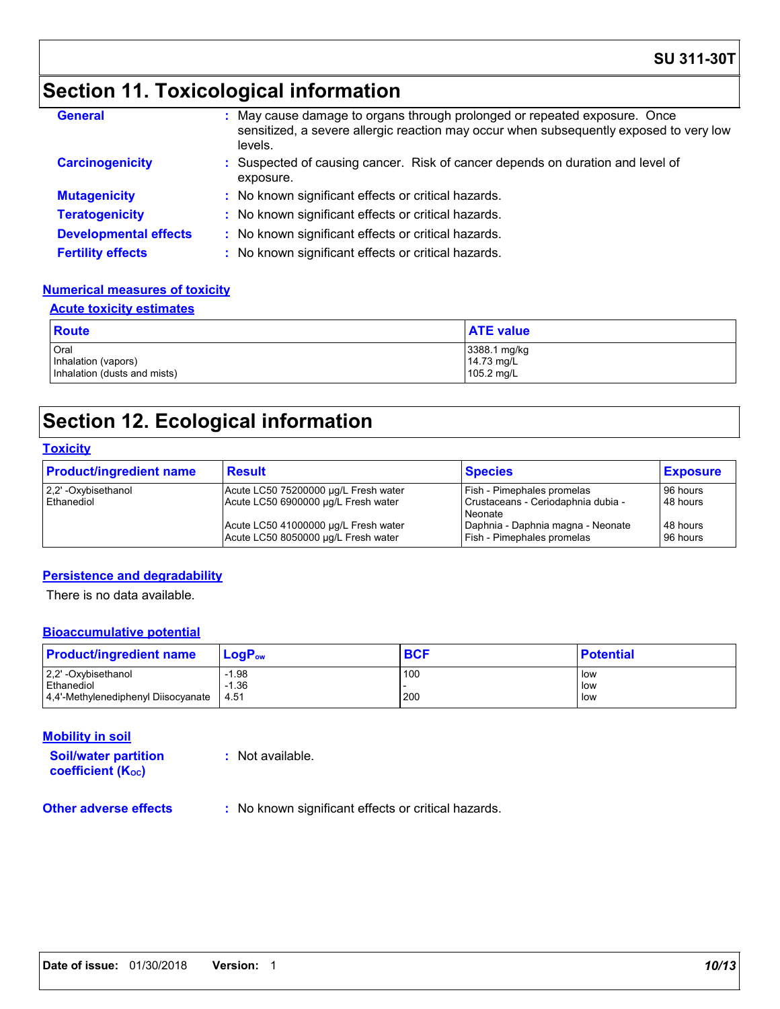# **Section 11. Toxicological information**

| <b>General</b>               | : May cause damage to organs through prolonged or repeated exposure. Once<br>sensitized, a severe allergic reaction may occur when subsequently exposed to very low<br>levels. |
|------------------------------|--------------------------------------------------------------------------------------------------------------------------------------------------------------------------------|
| <b>Carcinogenicity</b>       | : Suspected of causing cancer. Risk of cancer depends on duration and level of<br>exposure.                                                                                    |
| <b>Mutagenicity</b>          | : No known significant effects or critical hazards.                                                                                                                            |
| <b>Teratogenicity</b>        | : No known significant effects or critical hazards.                                                                                                                            |
| <b>Developmental effects</b> | : No known significant effects or critical hazards.                                                                                                                            |
| <b>Fertility effects</b>     | : No known significant effects or critical hazards.                                                                                                                            |

#### **Numerical measures of toxicity**

| <b>Acute toxicity estimates</b>                             |                                          |  |  |  |
|-------------------------------------------------------------|------------------------------------------|--|--|--|
| <b>Route</b>                                                | <b>ATE value</b>                         |  |  |  |
| Oral<br>Inhalation (vapors)<br>Inhalation (dusts and mists) | 3388.1 mg/kg<br>14.73 mg/L<br>105.2 mg/L |  |  |  |

# **Section 12. Ecological information**

#### **Toxicity**

| <b>Product/ingredient name</b> | <b>Result</b>                        | <b>Species</b>                     | <b>Exposure</b> |
|--------------------------------|--------------------------------------|------------------------------------|-----------------|
| 2,2' -Oxybisethanol            | Acute LC50 75200000 µg/L Fresh water | Fish - Pimephales promelas         | 96 hours        |
| Ethanediol                     | Acute LC50 6900000 µg/L Fresh water  | Crustaceans - Ceriodaphnia dubia - | 48 hours        |
|                                |                                      | Neonate                            |                 |
|                                | Acute LC50 41000000 µg/L Fresh water | Daphnia - Daphnia magna - Neonate  | 48 hours        |
|                                | Acute LC50 8050000 µg/L Fresh water  | Fish - Pimephales promelas         | 96 hours        |

#### **Persistence and degradability**

There is no data available.

#### **Bioaccumulative potential**

| <b>Product/ingredient name</b>      | LogP <sub>ow</sub> | <b>BCF</b> | <b>Potential</b> |
|-------------------------------------|--------------------|------------|------------------|
| 2.2' -Oxybisethanol                 | i.98               | 100        | low              |
| Ethanediol                          | $-1.36$            |            | low              |
| 4.4'-Methylenediphenyl Diisocyanate | 4.51               | 200        | low              |

#### **Mobility in soil**

**Soil/water partition coefficient (KOC)**

**:** Not available.

**Other adverse effects** : No known significant effects or critical hazards.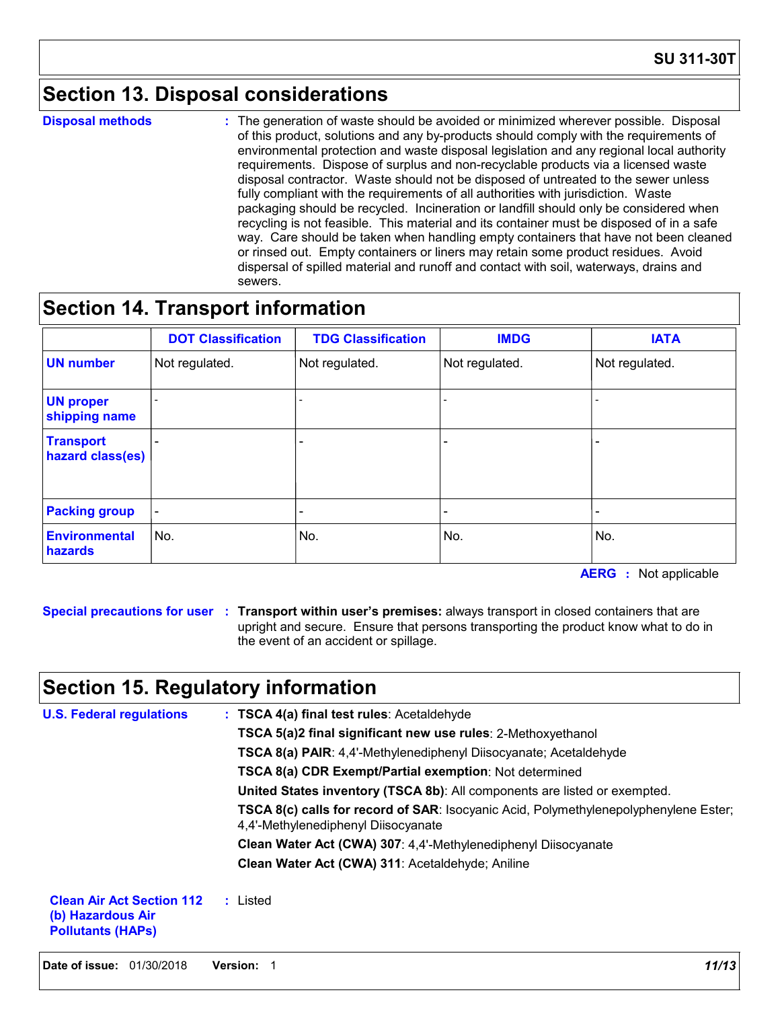# **Section 13. Disposal considerations**

**Disposal methods :**

The generation of waste should be avoided or minimized wherever possible. Disposal of this product, solutions and any by-products should comply with the requirements of environmental protection and waste disposal legislation and any regional local authority requirements. Dispose of surplus and non-recyclable products via a licensed waste disposal contractor. Waste should not be disposed of untreated to the sewer unless fully compliant with the requirements of all authorities with jurisdiction. Waste packaging should be recycled. Incineration or landfill should only be considered when recycling is not feasible. This material and its container must be disposed of in a safe way. Care should be taken when handling empty containers that have not been cleaned or rinsed out. Empty containers or liners may retain some product residues. Avoid dispersal of spilled material and runoff and contact with soil, waterways, drains and sewers.

# **Section 14. Transport information**

|                                      | <b>DOT Classification</b> | <b>TDG Classification</b> | <b>IMDG</b>    | <b>IATA</b>    |
|--------------------------------------|---------------------------|---------------------------|----------------|----------------|
| <b>UN number</b>                     | Not regulated.            | Not regulated.            | Not regulated. | Not regulated. |
| <b>UN proper</b><br>shipping name    |                           |                           |                |                |
| <b>Transport</b><br>hazard class(es) |                           |                           |                |                |
| <b>Packing group</b>                 |                           | $\overline{\phantom{0}}$  |                |                |
| <b>Environmental</b><br>hazards      | No.                       | No.                       | No.            | No.            |

**AERG :** Not applicable

**Special precautions for user Transport within user's premises:** always transport in closed containers that are **:** upright and secure. Ensure that persons transporting the product know what to do in the event of an accident or spillage.

# **Section 15. Regulatory information**

| <b>U.S. Federal regulations</b>                                                   | : TSCA 4(a) final test rules: Acetaldehyde                                                                                         |
|-----------------------------------------------------------------------------------|------------------------------------------------------------------------------------------------------------------------------------|
|                                                                                   | TSCA 5(a)2 final significant new use rules: 2-Methoxyethanol                                                                       |
|                                                                                   | TSCA 8(a) PAIR: 4,4'-Methylenediphenyl Diisocyanate; Acetaldehyde                                                                  |
|                                                                                   | <b>TSCA 8(a) CDR Exempt/Partial exemption: Not determined</b>                                                                      |
|                                                                                   | United States inventory (TSCA 8b): All components are listed or exempted.                                                          |
|                                                                                   | <b>TSCA 8(c) calls for record of SAR: Isocyanic Acid, Polymethylenepolyphenylene Ester;</b><br>4,4'-Methylenediphenyl Diisocyanate |
|                                                                                   | Clean Water Act (CWA) 307: 4,4'-Methylenediphenyl Diisocyanate                                                                     |
|                                                                                   | Clean Water Act (CWA) 311: Acetaldehyde; Aniline                                                                                   |
| <b>Clean Air Act Section 112</b><br>(b) Hazardous Air<br><b>Pollutants (HAPS)</b> | : Listed                                                                                                                           |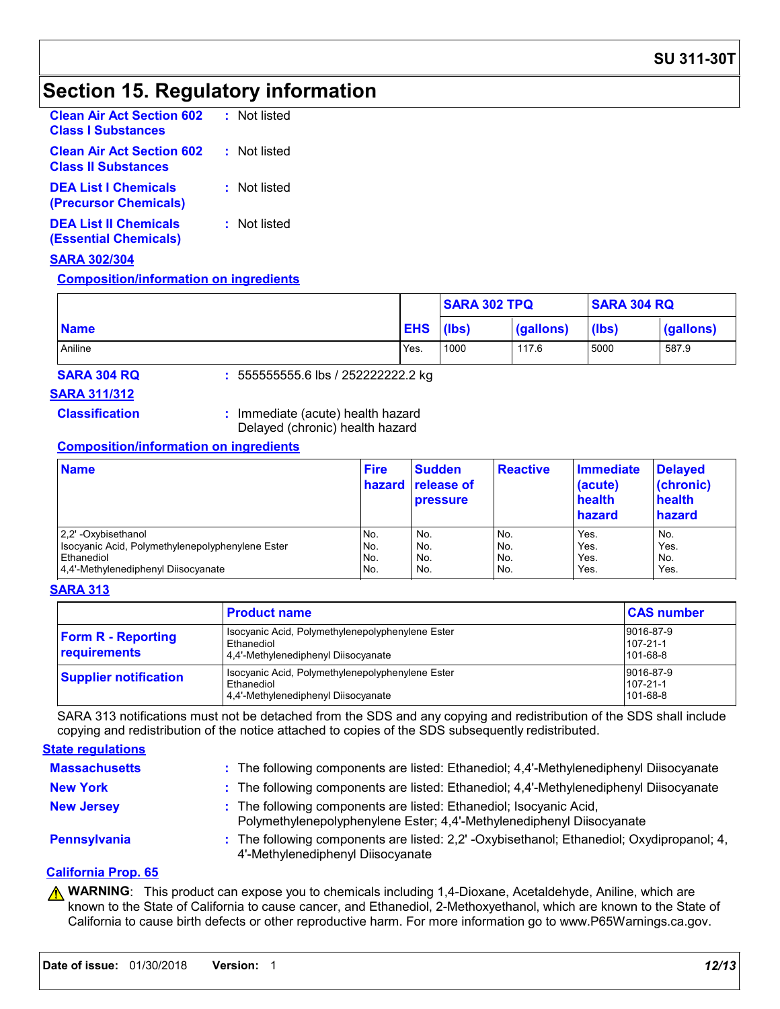# **Section 15. Regulatory information**

| : Not listed |
|--------------|
| : Not listed |
| : Not listed |
| : Not listed |
|              |

#### **SARA 302/304**

#### **Composition/information on ingredients**

|             |            | <b>SARA 302 TPQ</b> |           | <b>SARA 304 RQ</b> |           |
|-------------|------------|---------------------|-----------|--------------------|-----------|
| <b>Name</b> | <b>EHS</b> | (lbs)               | (gallons) | (lbs)              | (gallons) |
| Aniline     | Yes.       | 1000                | 117.6     | 5000               | 587.9     |

**SARA 304 RQ :** 555555555.6 lbs / 252222222.2 kg

#### **SARA 311/312**

**Classification :** Immediate (acute) health hazard Delayed (chronic) health hazard

#### **Composition/information on ingredients**

| <b>Name</b>                                      | <b>Fire</b> | <b>Sudden</b><br>hazard release of<br><b>pressure</b> | <b>Reactive</b> | <b>Immediate</b><br>(acute)<br>health<br>hazard | <b>Delayed</b><br>(chronic)<br>health<br>hazard |
|--------------------------------------------------|-------------|-------------------------------------------------------|-----------------|-------------------------------------------------|-------------------------------------------------|
| 2.2' -Oxybisethanol                              | No.         | No.                                                   | No.             | Yes.                                            | No.                                             |
| Isocyanic Acid, Polymethylenepolyphenylene Ester | No.         | No.                                                   | No.             | Yes.                                            | Yes.                                            |
| Ethanediol                                       | No.         | No.                                                   | No.             | Yes.                                            | No.                                             |
| 4,4'-Methylenediphenyl Diisocyanate              | No.         | No.                                                   | No.             | Yes.                                            | Yes.                                            |

#### **SARA 313**

|                                           | <b>Product name</b>                                                                                   | <b>CAS number</b>                 |
|-------------------------------------------|-------------------------------------------------------------------------------------------------------|-----------------------------------|
| <b>Form R - Reporting</b><br>requirements | Isocyanic Acid, Polymethylenepolyphenylene Ester<br>Ethanediol<br>4.4'-Methylenediphenyl Diisocyanate | 9016-87-9<br>107-21-1<br>101-68-8 |
| <b>Supplier notification</b>              | Isocyanic Acid, Polymethylenepolyphenylene Ester<br>Ethanediol<br>4.4'-Methylenediphenyl Diisocyanate | 9016-87-9<br>107-21-1<br>101-68-8 |

SARA 313 notifications must not be detached from the SDS and any copying and redistribution of the SDS shall include copying and redistribution of the notice attached to copies of the SDS subsequently redistributed.

#### **State regulations**

| <b>Massachusetts</b> | : The following components are listed: Ethanediol; 4,4'-Methylenediphenyl Diisocyanate                                                      |
|----------------------|---------------------------------------------------------------------------------------------------------------------------------------------|
| <b>New York</b>      | : The following components are listed: Ethanediol; 4,4'-Methylenediphenyl Diisocyanate                                                      |
| <b>New Jersey</b>    | : The following components are listed: Ethanediol; Isocyanic Acid,<br>Polymethylenepolyphenylene Ester; 4,4'-Methylenediphenyl Diisocyanate |
| Pennsylvania         | The following components are listed: 2,2' -Oxybisethanol; Ethanediol; Oxydipropanol; 4,<br>4'-Methylenediphenyl Diisocyanate                |

#### **California Prop. 65**

**A WARNING**: This product can expose you to chemicals including 1,4-Dioxane, Acetaldehyde, Aniline, which are known to the State of California to cause cancer, and Ethanediol, 2-Methoxyethanol, which are known to the State of California to cause birth defects or other reproductive harm. For more information go to www.P65Warnings.ca.gov.